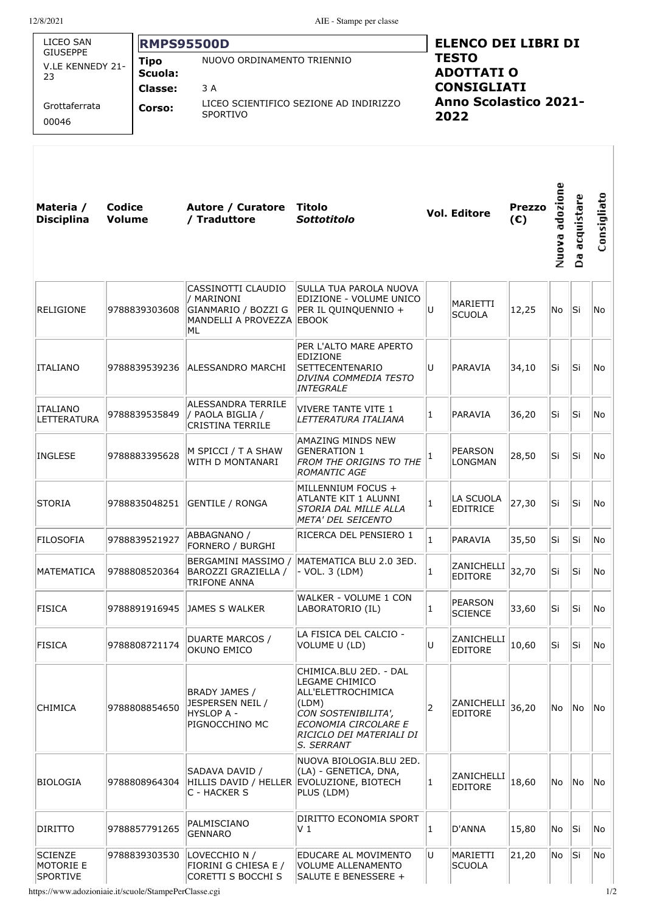| LICEO SAN<br><b>GIUSEPPE</b><br><b>Tipo</b><br>V.LE KENNEDY 21-<br>Scuola:<br>23<br><b>Classe:</b><br>Grottaferrata<br>Corso:<br>00046 |                  | <b>RMPS95500D</b>                                                                              |                                                                                            |                                                                                                                                                                  | <b>ELENCO DEI LIBRI DI</b><br><b>TESTO</b><br><b>ADOTTATI O</b><br><b>CONSIGLIATI</b><br><b>Anno Scolastico 2021-</b><br>2022 |                                  |                      |                |                 |             |  |
|----------------------------------------------------------------------------------------------------------------------------------------|------------------|------------------------------------------------------------------------------------------------|--------------------------------------------------------------------------------------------|------------------------------------------------------------------------------------------------------------------------------------------------------------------|-------------------------------------------------------------------------------------------------------------------------------|----------------------------------|----------------------|----------------|-----------------|-------------|--|
|                                                                                                                                        |                  | NUOVO ORDINAMENTO TRIENNIO<br>3 A<br>LICEO SCIENTIFICO SEZIONE AD INDIRIZZO<br><b>SPORTIVO</b> |                                                                                            |                                                                                                                                                                  |                                                                                                                               |                                  |                      |                |                 |             |  |
| Materia /<br><b>Disciplina</b>                                                                                                         | Codice<br>Volume |                                                                                                | Autore / Curatore<br>/ Traduttore                                                          | Titolo<br><b>Sottotitolo</b>                                                                                                                                     |                                                                                                                               | <b>Vol. Editore</b>              | <b>Prezzo</b><br>(E) | Nuova adozione | acquistare<br>å | Consigliato |  |
| RELIGIONE                                                                                                                              |                  | 9788839303608                                                                                  | CASSINOTTI CLAUDIO<br>/ MARINONI<br>GIANMARIO / BOZZI G<br>MANDELLI A PROVEZZA EBOOK<br>ML | SULLA TUA PAROLA NUOVA<br>EDIZIONE - VOLUME UNICO<br>PER IL QUINQUENNIO +                                                                                        | lu                                                                                                                            | MARIETTI<br><b>SCUOLA</b>        | 12,25                | No             | lSi.            | No          |  |
| ITALIANO                                                                                                                               |                  | 9788839539236                                                                                  | ALESSANDRO MARCHI                                                                          | PER L'ALTO MARE APERTO<br>EDIZIONE<br>SETTECENTENARIO<br>DIVINA COMMEDIA TESTO<br>INTEGRALE                                                                      | lu                                                                                                                            | PARAVIA                          | 34,10                | lSi            | lSi.            | No          |  |
| <b>ITALIANO</b><br><b>LETTERATURA</b>                                                                                                  |                  | 9788839535849                                                                                  | ALESSANDRA TERRILE<br>/ PAOLA BIGLIA /<br><b>CRISTINA TERRILE</b>                          | <b>VIVERE TANTE VITE 1</b><br>LETTERATURA ITALIANA                                                                                                               | 1                                                                                                                             | PARAVIA                          | 36,20                | Si             | lSi.            | lNo         |  |
| <b>INGLESE</b>                                                                                                                         |                  | 9788883395628                                                                                  | M SPICCI / T A SHAW<br>WITH D MONTANARI                                                    | AMAZING MINDS NEW<br><b>GENERATION 1</b><br><b>FROM THE ORIGINS TO THE</b><br><b>ROMANTIC AGE</b>                                                                |                                                                                                                               | <b>PEARSON</b><br><b>LONGMAN</b> | 28,50                | lSi            | Si              | No.         |  |
| <b>STORIA</b>                                                                                                                          |                  | 9788835048251                                                                                  | <b>GENTILE / RONGA</b>                                                                     | MILLENNIUM FOCUS +<br>ATLANTE KIT 1 ALUNNI<br>STORIA DAL MILLE ALLA<br>META' DEL SEICENTO                                                                        | 1                                                                                                                             | LA SCUOLA<br><b>EDITRICE</b>     | 27,30                | Si             | lSi             | No          |  |
| FILOSOFIA                                                                                                                              |                  | 9788839521927                                                                                  | ABBAGNANO /<br><b>FORNERO / BURGHI</b>                                                     | RICERCA DEL PENSIERO 1                                                                                                                                           | $\mathbf{1}$                                                                                                                  | PARAVIA                          | 35,50                | Si             | Si              | No          |  |
| MATEMATICA                                                                                                                             |                  | 9788808520364                                                                                  | BERGAMINI MASSIMO /<br>BAROZZI GRAZIELLA /<br><b>TRIFONE ANNA</b>                          | MATEMATICA BLU 2.0 3ED.<br>- VOL. 3 (LDM)                                                                                                                        | 1                                                                                                                             | ZANICHELLI<br><b>EDITORE</b>     | 32,70                | Si             | Si              | No.         |  |
| <b>FISICA</b>                                                                                                                          |                  | 9788891916945                                                                                  | JAMES S WALKER                                                                             | WALKER - VOLUME 1 CON<br>LABORATORIO (IL)                                                                                                                        | 1                                                                                                                             | PEARSON<br><b>SCIENCE</b>        | 33,60                | Si             | lSi.            | No          |  |
| <b>FISICA</b>                                                                                                                          |                  | 9788808721174                                                                                  | DUARTE MARCOS /<br>OKUNO EMICO                                                             | LA FISICA DEL CALCIO -<br>VOLUME U (LD)                                                                                                                          | U                                                                                                                             | ZANICHELLI<br><b>EDITORE</b>     | 10,60                | lSi            | lSi.            | No.         |  |
| CHIMICA                                                                                                                                |                  | 9788808854650                                                                                  | BRADY JAMES /<br>JESPERSEN NEIL /<br><b>HYSLOP A -</b><br>PIGNOCCHINO MC                   | CHIMICA.BLU 2ED. - DAL<br>LEGAME CHIMICO<br>ALL'ELETTROCHIMICA<br>(LDM)<br>CON SOSTENIBILITA',<br>ECONOMIA CIRCOLARE E<br>RICICLO DEI MATERIALI DI<br>S. SERRANT | 2                                                                                                                             | ZANICHELLI<br><b>EDITORE</b>     | 36,20                | No             | No              | No          |  |
| <b>BIOLOGIA</b>                                                                                                                        |                  | 9788808964304                                                                                  | SADAVA DAVID /<br>C - HACKER S                                                             | NUOVA BIOLOGIA.BLU 2ED.<br>(LA) - GENETICA, DNA,<br>HILLIS DAVID / HELLER EVOLUZIONE, BIOTECH<br>PLUS (LDM)                                                      | 1                                                                                                                             | ZANICHELLI<br><b>EDITORE</b>     | 18,60                | No             | No.             | No          |  |
| <b>DIRITTO</b>                                                                                                                         |                  | 9788857791265                                                                                  | PALMISCIANO<br><b>GENNARO</b>                                                              | DIRITTO ECONOMIA SPORT<br>V 1                                                                                                                                    | 1                                                                                                                             | D'ANNA                           | 15,80                | No             | lSi.            | No.         |  |
| SCIENZE<br><b>MOTORIE E</b><br><b>SPORTIVE</b>                                                                                         |                  | 9788839303530                                                                                  | LOVECCHIO N /<br>FIORINI G CHIESA E /<br>CORETTI S BOCCHI S                                | EDUCARE AL MOVIMENTO<br><b>VOLUME ALLENAMENTO</b><br>SALUTE E BENESSERE +                                                                                        | lU                                                                                                                            | MARIETTI<br><b>SCUOLA</b>        | 21,20                | No             | Si              | No          |  |